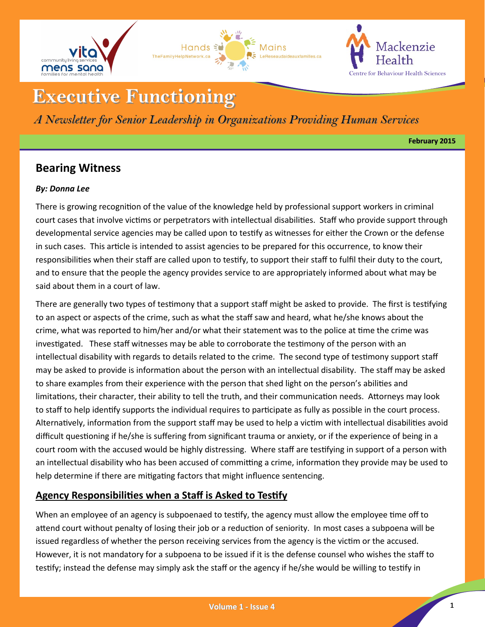





# **Executive Functioning**

*A Newsletter for Senior Leadership in Organizations Providing Human Services*

**February 2015**

# **Bearing Witness**

#### *By: Donna Lee*

There is growing recognition of the value of the knowledge held by professional support workers in criminal court cases that involve victims or perpetrators with intellectual disabilities. Staff who provide support through developmental service agencies may be called upon to testify as witnesses for either the Crown or the defense in such cases. This article is intended to assist agencies to be prepared for this occurrence, to know their responsibilities when their staff are called upon to testify, to support their staff to fulfil their duty to the court, and to ensure that the people the agency provides service to are appropriately informed about what may be said about them in a court of law.

There are generally two types of testimony that a support staff might be asked to provide. The first is testifying to an aspect or aspects of the crime, such as what the staff saw and heard, what he/she knows about the crime, what was reported to him/her and/or what their statement was to the police at time the crime was investigated. These staff witnesses may be able to corroborate the testimony of the person with an intellectual disability with regards to details related to the crime. The second type of testimony support staff may be asked to provide is information about the person with an intellectual disability. The staff may be asked to share examples from their experience with the person that shed light on the person's abilities and limitations, their character, their ability to tell the truth, and their communication needs. Attorneys may look to staff to help identify supports the individual requires to participate as fully as possible in the court process. Alternatively, information from the support staff may be used to help a victim with intellectual disabilities avoid difficult questioning if he/she is suffering from significant trauma or anxiety, or if the experience of being in a court room with the accused would be highly distressing. Where staff are testifying in support of a person with an intellectual disability who has been accused of committing a crime, information they provide may be used to help determine if there are mitigating factors that might influence sentencing.

## **Agency Responsibilities when a Staff is Asked to Testify**

When an employee of an agency is subpoenaed to testify, the agency must allow the employee time off to attend court without penalty of losing their job or a reduction of seniority. In most cases a subpoena will be issued regardless of whether the person receiving services from the agency is the victim or the accused. However, it is not mandatory for a subpoena to be issued if it is the defense counsel who wishes the staff to testify; instead the defense may simply ask the staff or the agency if he/she would be willing to testify in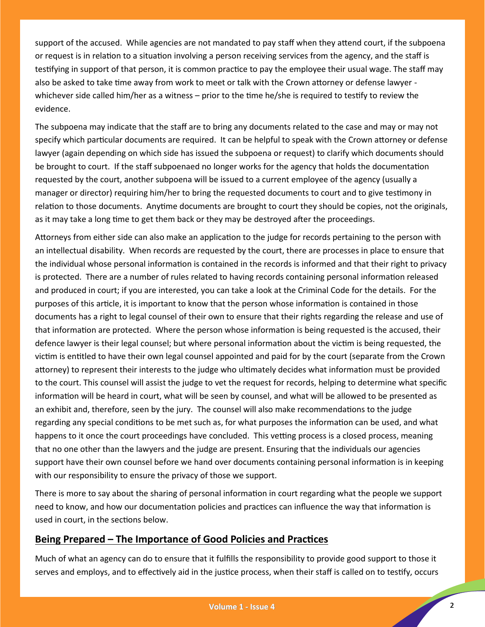support of the accused. While agencies are not mandated to pay staff when they attend court, if the subpoena or request is in relation to a situation involving a person receiving services from the agency, and the staff is testifying in support of that person, it is common practice to pay the employee their usual wage. The staff may also be asked to take time away from work to meet or talk with the Crown attorney or defense lawyer whichever side called him/her as a witness – prior to the time he/she is required to testify to review the evidence.

The subpoena may indicate that the staff are to bring any documents related to the case and may or may not specify which particular documents are required. It can be helpful to speak with the Crown attorney or defense lawyer (again depending on which side has issued the subpoena or request) to clarify which documents should be brought to court. If the staff subpoenaed no longer works for the agency that holds the documentation requested by the court, another subpoena will be issued to a current employee of the agency (usually a manager or director) requiring him/her to bring the requested documents to court and to give testimony in relation to those documents. Anytime documents are brought to court they should be copies, not the originals, as it may take a long time to get them back or they may be destroyed after the proceedings.

Attorneys from either side can also make an application to the judge for records pertaining to the person with an intellectual disability. When records are requested by the court, there are processes in place to ensure that the individual whose personal information is contained in the records is informed and that their right to privacy is protected. There are a number of rules related to having records containing personal information released and produced in court; if you are interested, you can take a look at the Criminal Code for the details. For the purposes of this article, it is important to know that the person whose information is contained in those documents has a right to legal counsel of their own to ensure that their rights regarding the release and use of that information are protected. Where the person whose information is being requested is the accused, their defence lawyer is their legal counsel; but where personal information about the victim is being requested, the victim is entitled to have their own legal counsel appointed and paid for by the court (separate from the Crown attorney) to represent their interests to the judge who ultimately decides what information must be provided to the court. This counsel will assist the judge to vet the request for records, helping to determine what specific information will be heard in court, what will be seen by counsel, and what will be allowed to be presented as an exhibit and, therefore, seen by the jury. The counsel will also make recommendations to the judge regarding any special conditions to be met such as, for what purposes the information can be used, and what happens to it once the court proceedings have concluded. This vetting process is a closed process, meaning that no one other than the lawyers and the judge are present. Ensuring that the individuals our agencies support have their own counsel before we hand over documents containing personal information is in keeping with our responsibility to ensure the privacy of those we support.

There is more to say about the sharing of personal information in court regarding what the people we support need to know, and how our documentation policies and practices can influence the way that information is used in court, in the sections below.

#### **Being Prepared – The Importance of Good Policies and Practices**

Much of what an agency can do to ensure that it fulfills the responsibility to provide good support to those it serves and employs, and to effectively aid in the justice process, when their staff is called on to testify, occurs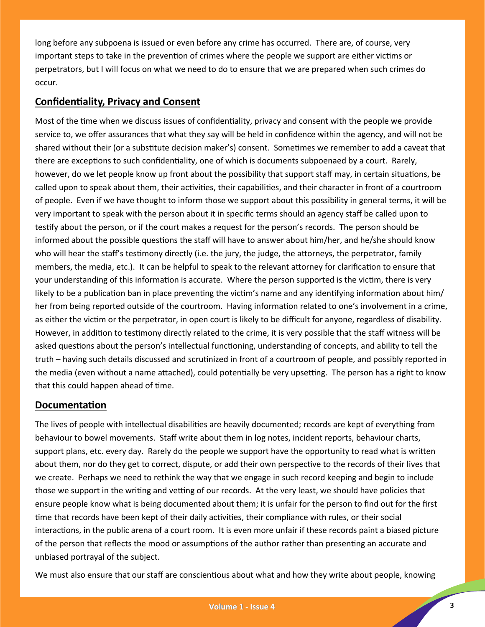long before any subpoena is issued or even before any crime has occurred. There are, of course, very important steps to take in the prevention of crimes where the people we support are either victims or perpetrators, but I will focus on what we need to do to ensure that we are prepared when such crimes do occur.

### **Confidentiality, Privacy and Consent**

Most of the time when we discuss issues of confidentiality, privacy and consent with the people we provide service to, we offer assurances that what they say will be held in confidence within the agency, and will not be shared without their (or a substitute decision maker's) consent. Sometimes we remember to add a caveat that there are exceptions to such confidentiality, one of which is documents subpoenaed by a court. Rarely, however, do we let people know up front about the possibility that support staff may, in certain situations, be called upon to speak about them, their activities, their capabilities, and their character in front of a courtroom of people. Even if we have thought to inform those we support about this possibility in general terms, it will be very important to speak with the person about it in specific terms should an agency staff be called upon to testify about the person, or if the court makes a request for the person's records. The person should be informed about the possible questions the staff will have to answer about him/her, and he/she should know who will hear the staff's testimony directly (i.e. the jury, the judge, the attorneys, the perpetrator, family members, the media, etc.). It can be helpful to speak to the relevant attorney for clarification to ensure that your understanding of this information is accurate. Where the person supported is the victim, there is very likely to be a publication ban in place preventing the victim's name and any identifying information about him/ her from being reported outside of the courtroom. Having information related to one's involvement in a crime, as either the victim or the perpetrator, in open court is likely to be difficult for anyone, regardless of disability. However, in addition to testimony directly related to the crime, it is very possible that the staff witness will be asked questions about the person's intellectual functioning, understanding of concepts, and ability to tell the truth – having such details discussed and scrutinized in front of a courtroom of people, and possibly reported in the media (even without a name attached), could potentially be very upsetting. The person has a right to know that this could happen ahead of time.

#### **Documentation**

The lives of people with intellectual disabilities are heavily documented; records are kept of everything from behaviour to bowel movements. Staff write about them in log notes, incident reports, behaviour charts, support plans, etc. every day. Rarely do the people we support have the opportunity to read what is written about them, nor do they get to correct, dispute, or add their own perspective to the records of their lives that we create. Perhaps we need to rethink the way that we engage in such record keeping and begin to include those we support in the writing and vetting of our records. At the very least, we should have policies that ensure people know what is being documented about them; it is unfair for the person to find out for the first time that records have been kept of their daily activities, their compliance with rules, or their social interactions, in the public arena of a court room. It is even more unfair if these records paint a biased picture of the person that reflects the mood or assumptions of the author rather than presenting an accurate and unbiased portrayal of the subject.

We must also ensure that our staff are conscientious about what and how they write about people, knowing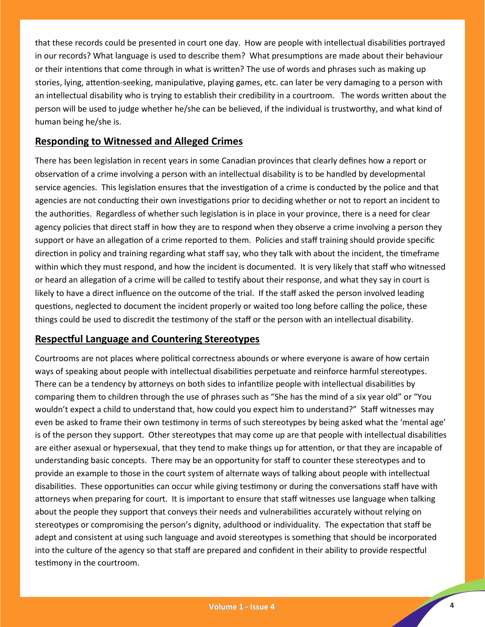that these records could be presented in court one day. How are people with intellectual disabilities portrayed in our records? What language is used to describe them? What presumptions are made about their behaviour or their intentions that come through in what is written? The use of words and phrases such as making up stories, lying, attention-seeking, manipulative, playing games, etc. can later be very damaging to a person with an intellectual disability who is trying to establish their credibility in a courtroom. The words written about the person will be used to judge whether he/she can be believed, if the individual is trustworthy, and what kind of human being he/she is.

### **Responding to Witnessed and Alleged Crimes**

There has been legislation in recent years in some Canadian provinces that clearly defines how a report or observation of a crime involving a person with an intellectual disability is to be handled by developmental service agencies. This legislation ensures that the investigation of a crime is conducted by the police and that agencies are not conducting their own investigations prior to deciding whether or not to report an incident to the authorities. Regardless of whether such legislation is in place in your province, there is a need for clear agency policies that direct staff in how they are to respond when they observe a crime involving a person they support or have an allegation of a crime reported to them. Policies and staff training should provide specific direction in policy and training regarding what staff say, who they talk with about the incident, the timeframe within which they must respond, and how the incident is documented. It is very likely that staff who witnessed or heard an allegation of a crime will be called to testify about their response, and what they say in court is likely to have a direct influence on the outcome of the trial. If the staff asked the person involved leading questions, neglected to document the incident properly or waited too long before calling the police, these things could be used to discredit the testimony of the staff or the person with an intellectual disability.

#### **Respectful Language and Countering Stereotypes**

Courtrooms are not places where political correctness abounds or where everyone is aware of how certain ways of speaking about people with intellectual disabilities perpetuate and reinforce harmful stereotypes. There can be a tendency by attorneys on both sides to infantilize people with intellectual disabilities by comparing them to children through the use of phrases such as "She has the mind of a six year old" or "You wouldn't expect a child to understand that, how could you expect him to understand?" Staff witnesses may even be asked to frame their own testimony in terms of such stereotypes by being asked what the 'mental age' is of the person they support. Other stereotypes that may come up are that people with intellectual disabilities are either asexual or hypersexual, that they tend to make things up for attention, or that they are incapable of understanding basic concepts. There may be an opportunity for staff to counter these stereotypes and to provide an example to those in the court system of alternate ways of talking about people with intellectual disabilities. These opportunities can occur while giving testimony or during the conversations staff have with attorneys when preparing for court. It is important to ensure that staff witnesses use language when talking about the people they support that conveys their needs and vulnerabilities accurately without relying on stereotypes or compromising the person's dignity, adulthood or individuality. The expectation that staff be adept and consistent at using such language and avoid stereotypes is something that should be incorporated into the culture of the agency so that staff are prepared and confident in their ability to provide respectful testimony in the courtroom.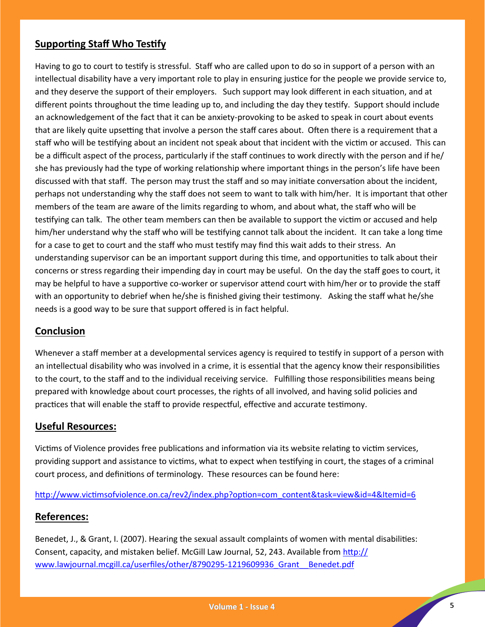## **Supporting Staff Who Testify**

Having to go to court to testify is stressful. Staff who are called upon to do so in support of a person with an intellectual disability have a very important role to play in ensuring justice for the people we provide service to, and they deserve the support of their employers. Such support may look different in each situation, and at different points throughout the time leading up to, and including the day they testify. Support should include an acknowledgement of the fact that it can be anxiety-provoking to be asked to speak in court about events that are likely quite upsetting that involve a person the staff cares about. Often there is a requirement that a staff who will be testifying about an incident not speak about that incident with the victim or accused. This can be a difficult aspect of the process, particularly if the staff continues to work directly with the person and if he/ she has previously had the type of working relationship where important things in the person's life have been discussed with that staff. The person may trust the staff and so may initiate conversation about the incident, perhaps not understanding why the staff does not seem to want to talk with him/her. It is important that other members of the team are aware of the limits regarding to whom, and about what, the staff who will be testifying can talk. The other team members can then be available to support the victim or accused and help him/her understand why the staff who will be testifying cannot talk about the incident. It can take a long time for a case to get to court and the staff who must testify may find this wait adds to their stress. An understanding supervisor can be an important support during this time, and opportunities to talk about their concerns or stress regarding their impending day in court may be useful. On the day the staff goes to court, it may be helpful to have a supportive co-worker or supervisor attend court with him/her or to provide the staff with an opportunity to debrief when he/she is finished giving their testimony. Asking the staff what he/she needs is a good way to be sure that support offered is in fact helpful.

#### **Conclusion**

Whenever a staff member at a developmental services agency is required to testify in support of a person with an intellectual disability who was involved in a crime, it is essential that the agency know their responsibilities to the court, to the staff and to the individual receiving service. Fulfilling those responsibilities means being prepared with knowledge about court processes, the rights of all involved, and having solid policies and practices that will enable the staff to provide respectful, effective and accurate testimony.

#### **Useful Resources:**

Victims of Violence provides free publications and information via its website relating to victim services, providing support and assistance to victims, what to expect when testifying in court, the stages of a criminal court process, and definitions of terminology. These resources can be found here:

#### [http://www.victimsofviolence.on.ca/rev2/index.php?option=com\\_content&task=view&id=4&Itemid=6](http://www.victimsofviolence.on.ca/rev2/index.php?option=com_content&task=view&id=4&Itemid=6)

#### **References:**

Benedet, J., & Grant, I. (2007). Hearing the sexual assault complaints of women with mental disabilities: Consent, capacity, and mistaken belief. McGill Law Journal, 52, 243. Available from [http://](http://www.lawjournal.mcgill.ca/userfiles/other/8790295-1219609936_Grant__Benedet.pdf) [www.lawjournal.mcgill.ca/userfiles/other/8790295](http://www.lawjournal.mcgill.ca/userfiles/other/8790295-1219609936_Grant__Benedet.pdf)-1219609936\_Grant\_\_Benedet.pdf